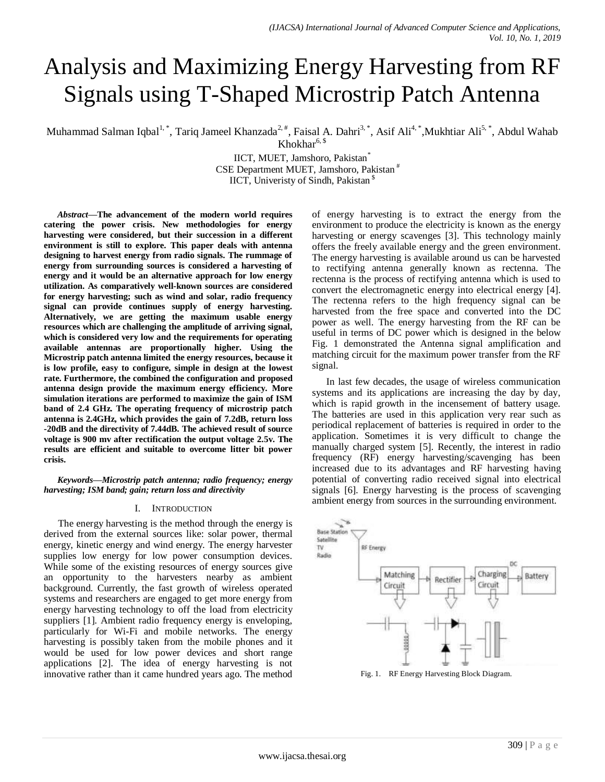# Analysis and Maximizing Energy Harvesting from RF Signals using T-Shaped Microstrip Patch Antenna

Muhammad Salman Iqbal<sup>1,\*</sup>, Tariq Jameel Khanzada<sup>2,#</sup>, Faisal A. Dahri<sup>3,\*</sup>, Asif Ali<sup>4,\*</sup>,Mukhtiar Ali<sup>5,\*</sup>, Abdul Wahab

Khokhar<sup>6, \$</sup>

IICT, MUET, Jamshoro, Pakistan\* CSE Department MUET, Jamshoro, Pakistan # IICT, Univeristy of Sindh, Pakistan<sup>§</sup>

*Abstract***—The advancement of the modern world requires catering the power crisis. New methodologies for energy harvesting were considered, but their succession in a different environment is still to explore. This paper deals with antenna designing to harvest energy from radio signals. The rummage of energy from surrounding sources is considered a harvesting of energy and it would be an alternative approach for low energy utilization. As comparatively well-known sources are considered for energy harvesting; such as wind and solar, radio frequency signal can provide continues supply of energy harvesting. Alternatively, we are getting the maximum usable energy resources which are challenging the amplitude of arriving signal, which is considered very low and the requirements for operating available antennas are proportionally higher. Using the Microstrip patch antenna limited the energy resources, because it is low profile, easy to configure, simple in design at the lowest rate. Furthermore, the combined the configuration and proposed antenna design provide the maximum energy efficiency. More simulation iterations are performed to maximize the gain of ISM band of 2.4 GHz. The operating frequency of microstrip patch antenna is 2.4GHz, which provides the gain of 7.2dB, return loss -20dB and the directivity of 7.44dB. The achieved result of source voltage is 900 mv after rectification the output voltage 2.5v. The results are efficient and suitable to overcome litter bit power crisis.**

*Keywords—Microstrip patch antenna; radio frequency; energy harvesting; ISM band; gain; return loss and directivity*

## I. INTRODUCTION

The energy harvesting is the method through the energy is derived from the external sources like: solar power, thermal energy, kinetic energy and wind energy. The energy harvester supplies low energy for low power consumption devices. While some of the existing resources of energy sources give an opportunity to the harvesters nearby as ambient background. Currently, the fast growth of wireless operated systems and researchers are engaged to get more energy from energy harvesting technology to off the load from electricity suppliers [1]. Ambient radio frequency energy is enveloping, particularly for Wi-Fi and mobile networks. The energy harvesting is possibly taken from the mobile phones and it would be used for low power devices and short range applications [2]. The idea of energy harvesting is not innovative rather than it came hundred years ago. The method of energy harvesting is to extract the energy from the environment to produce the electricity is known as the energy harvesting or energy scavenges [3]. This technology mainly offers the freely available energy and the green environment. The energy harvesting is available around us can be harvested to rectifying antenna generally known as rectenna. The rectenna is the process of rectifying antenna which is used to convert the electromagnetic energy into electrical energy [4]. The rectenna refers to the high frequency signal can be harvested from the free space and converted into the DC power as well. The energy harvesting from the RF can be useful in terms of DC power which is designed in the below Fig. 1 demonstrated the Antenna signal amplification and matching circuit for the maximum power transfer from the RF signal.

In last few decades, the usage of wireless communication systems and its applications are increasing the day by day, which is rapid growth in the incensement of battery usage. The batteries are used in this application very rear such as periodical replacement of batteries is required in order to the application. Sometimes it is very difficult to change the manually charged system [5]. Recently, the interest in radio frequency (RF) energy harvesting/scavenging has been increased due to its advantages and RF harvesting having potential of converting radio received signal into electrical signals [6]. Energy harvesting is the process of scavenging ambient energy from sources in the surrounding environment.



Fig. 1. RF Energy Harvesting Block Diagram.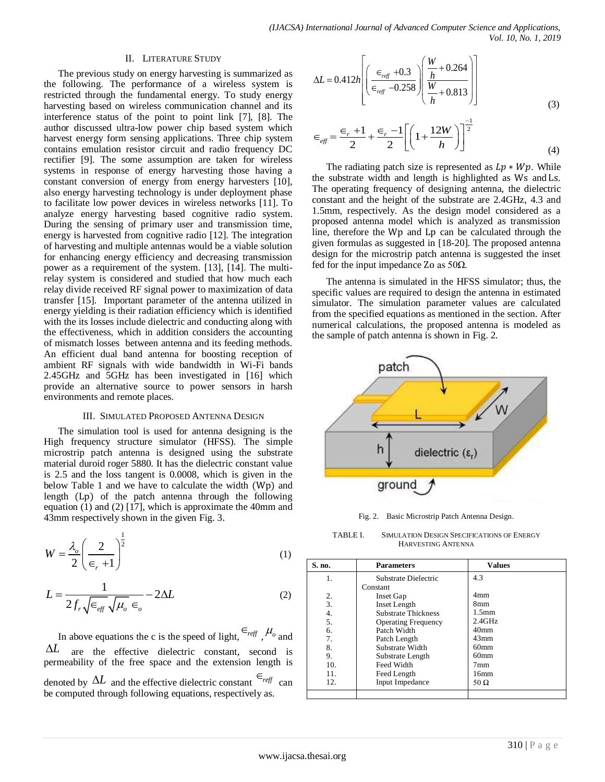#### II. LITERATURE STUDY

The previous study on energy harvesting is summarized as the following. The performance of a wireless system is restricted through the fundamental energy. To study energy harvesting based on wireless communication channel and its interference status of the point to point link [7], [8]. The author discussed ultra-low power chip based system which harvest energy form sensing applications. Three chip system contains emulation resistor circuit and radio frequency DC rectifier [9]. The some assumption are taken for wireless systems in response of energy harvesting those having a constant conversion of energy from energy harvesters [10], also energy harvesting technology is under deployment phase to facilitate low power devices in wireless networks [11]. To analyze energy harvesting based cognitive radio system. During the sensing of primary user and transmission time, energy is harvested from cognitive radio [12]. The integration of harvesting and multiple antennas would be a viable solution for enhancing energy efficiency and decreasing transmission power as a requirement of the system. [13], [14]. The multirelay system is considered and studied that how much each relay divide received RF signal power to maximization of data transfer [15]. Important parameter of the antenna utilized in energy yielding is their radiation efficiency which is identified with the its losses include dielectric and conducting along with the effectiveness, which in addition considers the accounting of mismatch losses between antenna and its feeding methods. An efficient dual band antenna for boosting reception of ambient RF signals with wide bandwidth in Wi-Fi bands 2.45GHz and 5GHz has been investigated in [16] which provide an alternative source to power sensors in harsh environments and remote places.

### III. SIMULATED PROPOSED ANTENNA DESIGN

The simulation tool is used for antenna designing is the High frequency structure simulator (HFSS). The simple microstrip patch antenna is designed using the substrate material duroid roger 5880. It has the dielectric constant value is 2.5 and the loss tangent is 0.0008, which is given in the below Table 1 and we have to calculate the width  $(Wp)$  and length (Lp) of the patch antenna through the following equation (1) and (2) [17], which is approximate the 40mm and 43mm respectively shown in the given Fig. 3.

$$
W = \frac{\lambda_o}{2} \left( \frac{2}{\epsilon_r + 1} \right)^{\frac{1}{2}}
$$
 (1)

$$
L = \frac{1}{2f_r\sqrt{\epsilon_{\text{eff}}}\sqrt{\mu_o \epsilon_o}} - 2\Delta L
$$
 (2)

In above equations the c is the speed of light,  $\epsilon_{\text{reff}}$ ,  $\mu_o$  and *L* are the effective dielectric constant, second is permeability of the free space and the extension length is denoted by  $\Delta L$  and the effective dielectric constant  $\epsilon_{\text{reff}}$  can be computed through following equations, respectively as.

$$
\Delta L = 0.412h \left[ \left( \frac{\epsilon_{\text{reff}} + 0.3}{\epsilon_{\text{reff}} - 0.258} \right) \left( \frac{\frac{W}{h} + 0.264}{\frac{W}{h} + 0.813} \right) \right]
$$
(3)

$$
\epsilon_{\text{eff}} = \frac{\epsilon_r + 1}{2} + \frac{\epsilon_r - 1}{2} \left[ \left( 1 + \frac{12W}{h} \right) \right]^{-\frac{1}{2}}
$$
(4)

The radiating patch size is represented as  $Lp * Wp$ . While the substrate width and length is highlighted as Ws and Ls. The operating frequency of designing antenna, the dielectric constant and the height of the substrate are 2.4GHz, 4.3 and 1.5mm, respectively. As the design model considered as a proposed antenna model which is analyzed as transmission line, therefore the Wp and Lp can be calculated through the given formulas as suggested in [18-20]. The proposed antenna design for the microstrip patch antenna is suggested the inset fed for the input impedance Zo as  $50\Omega$ .

The antenna is simulated in the HFSS simulator; thus, the specific values are required to design the antenna in estimated simulator. The simulation parameter values are calculated from the specified equations as mentioned in the section. After numerical calculations, the proposed antenna is modeled as the sample of patch antenna is shown in Fig. 2.



Fig. 2. Basic Microstrip Patch Antenna Design.

TABLE I. SIMULATION DESIGN SPECIFICATIONS OF ENERGY HARVESTING ANTENNA

| S. no.           | <b>Parameters</b>          | <b>Values</b>     |
|------------------|----------------------------|-------------------|
| 1.               | Substrate Dielectric       | 4.3               |
|                  | Constant                   |                   |
| 2.               | <b>Inset Gap</b>           | 4mm               |
| 3.               | Inset Length               | 8 <sub>mm</sub>   |
| $\overline{4}$ . | <b>Substrate Thickness</b> | 1.5 <sub>mm</sub> |
| 5.               | <b>Operating Frequency</b> | $2.4$ GHz         |
| б.               | Patch Width                | 40 <sub>mm</sub>  |
| 7.               | Patch Length               | $43$ mm           |
| 8.               | Substrate Width            | 60 <sub>mm</sub>  |
| 9.               | Substrate Length           | 60 <sub>mm</sub>  |
| 10.              | Feed Width                 | 7mm               |
| 11.              | Feed Length                | 16mm              |
| 12.              | <b>Input Impedance</b>     | 50 $\Omega$       |
|                  |                            |                   |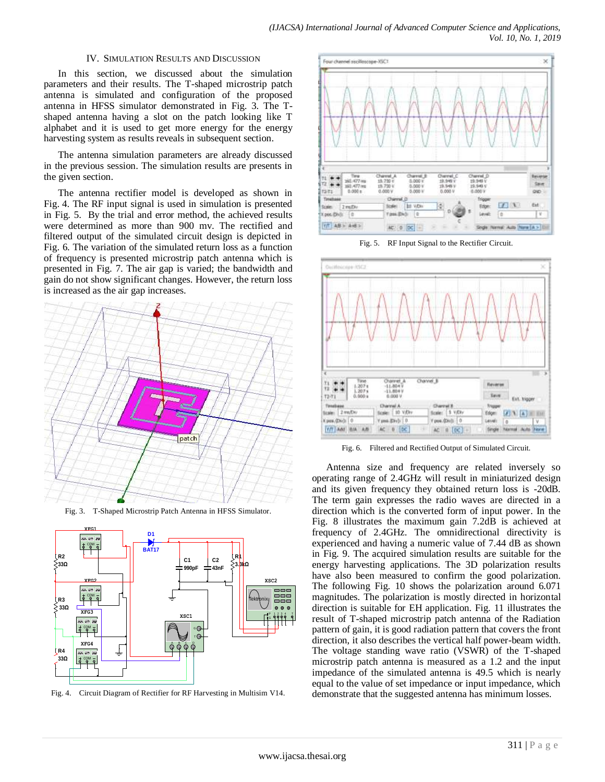### IV. SIMULATION RESULTS AND DISCUSSION

In this section, we discussed about the simulation parameters and their results. The T-shaped microstrip patch antenna is simulated and configuration of the proposed antenna in HFSS simulator demonstrated in Fig. 3. The Tshaped antenna having a slot on the patch looking like T alphabet and it is used to get more energy for the energy harvesting system as results reveals in subsequent section.

The antenna simulation parameters are already discussed in the previous session. The simulation results are presents in the given section.

The antenna rectifier model is developed as shown in Fig. 4. The RF input signal is used in simulation is presented in Fig. 5. By the trial and error method, the achieved results were determined as more than 900 mv. The rectified and filtered output of the simulated circuit design is depicted in Fig. 6. The variation of the simulated return loss as a function of frequency is presented microstrip patch antenna which is presented in Fig. 7. The air gap is varied; the bandwidth and gain do not show significant changes. However, the return loss is increased as the air gap increases.





Fig. 4. Circuit Diagram of Rectifier for RF Harvesting in Multisim V14.



Fig. 5. RF Input Signal to the Rectifier Circuit.



Fig. 6. Filtered and Rectified Output of Simulated Circuit.

Antenna size and frequency are related inversely so operating range of 2.4GHz will result in miniaturized design and its given frequency they obtained return loss is -20dB. The term gain expresses the radio waves are directed in a direction which is the converted form of input power. In the Fig. 8 illustrates the maximum gain 7.2dB is achieved at frequency of 2.4GHz. The omnidirectional directivity is experienced and having a numeric value of 7.44 dB as shown in Fig. 9. The acquired simulation results are suitable for the energy harvesting applications. The 3D polarization results have also been measured to confirm the good polarization. The following Fig. 10 shows the polarization around 6.071 magnitudes. The polarization is mostly directed in horizontal direction is suitable for EH application. Fig. 11 illustrates the result of T-shaped microstrip patch antenna of the Radiation pattern of gain, it is good radiation pattern that covers the front direction, it also describes the vertical half power-beam width. The voltage standing wave ratio (VSWR) of the T-shaped microstrip patch antenna is measured as a 1.2 and the input impedance of the simulated antenna is 49.5 which is nearly equal to the value of set impedance or input impedance, which demonstrate that the suggested antenna has minimum losses.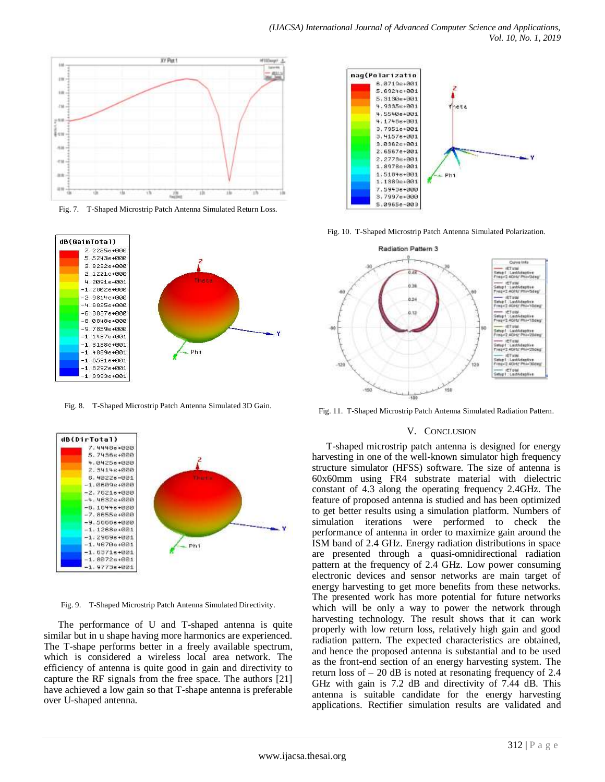

Fig. 7. T-Shaped Microstrip Patch Antenna Simulated Return Loss.



Fig. 8. T-Shaped Microstrip Patch Antenna Simulated 3D Gain.



Fig. 9. T-Shaped Microstrip Patch Antenna Simulated Directivity.

The performance of U and T-shaped antenna is quite similar but in u shape having more harmonics are experienced. The T-shape performs better in a freely available spectrum, which is considered a wireless local area network. The efficiency of antenna is quite good in gain and directivity to capture the RF signals from the free space. The authors [21] have achieved a low gain so that T-shape antenna is preferable over U-shaped antenna.



Fig. 10. T-Shaped Microstrip Patch Antenna Simulated Polarization.



Fig. 11. T-Shaped Microstrip Patch Antenna Simulated Radiation Pattern.

#### V. CONCLUSION

T-shaped microstrip patch antenna is designed for energy harvesting in one of the well-known simulator high frequency structure simulator (HFSS) software. The size of antenna is 60x60mm using FR4 substrate material with dielectric constant of 4.3 along the operating frequency 2.4GHz. The feature of proposed antenna is studied and has been optimized to get better results using a simulation platform. Numbers of simulation iterations were performed to check the performance of antenna in order to maximize gain around the ISM band of 2.4 GHz. Energy radiation distributions in space are presented through a quasi-omnidirectional radiation pattern at the frequency of 2.4 GHz. Low power consuming electronic devices and sensor networks are main target of energy harvesting to get more benefits from these networks. The presented work has more potential for future networks which will be only a way to power the network through harvesting technology. The result shows that it can work properly with low return loss, relatively high gain and good radiation pattern. The expected characteristics are obtained, and hence the proposed antenna is substantial and to be used as the front-end section of an energy harvesting system. The return loss of  $-20$  dB is noted at resonating frequency of 2.4 GHz with gain is 7.2 dB and directivity of 7.44 dB. This antenna is suitable candidate for the energy harvesting applications. Rectifier simulation results are validated and